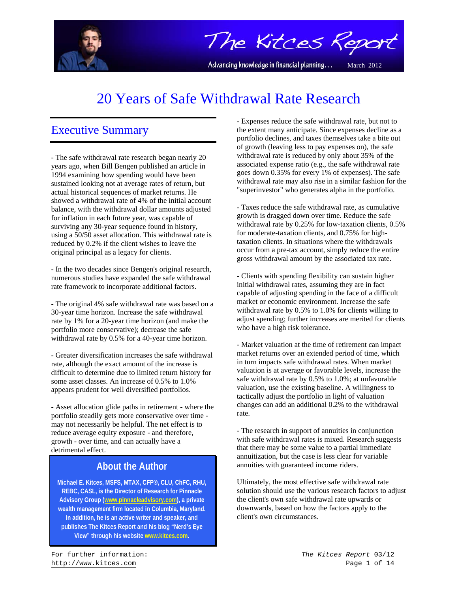

The Kitces Report

Advancing knowledge in financial planning...

March 2012

# 20 Years of Safe Withdrawal Rate Research

# Executive Summary

- The safe withdrawal rate research began nearly 20 years ago, when Bill Bengen published an article in 1994 examining how spending would have been sustained looking not at average rates of return, but actual historical sequences of market returns. He showed a withdrawal rate of 4% of the initial account balance, with the withdrawal dollar amounts adjusted for inflation in each future year, was capable of surviving any 30-year sequence found in history, using a 50/50 asset allocation. This withdrawal rate is reduced by 0.2% if the client wishes to leave the original principal as a legacy for clients.

- In the two decades since Bengen's original research, numerous studies have expanded the safe withdrawal rate framework to incorporate additional factors.

- The original 4% safe withdrawal rate was based on a 30-year time horizon. Increase the safe withdrawal rate by 1% for a 20-year time horizon (and make the portfolio more conservative); decrease the safe withdrawal rate by 0.5% for a 40-year time horizon.

- Greater diversification increases the safe withdrawal rate, although the exact amount of the increase is difficult to determine due to limited return history for some asset classes. An increase of 0.5% to 1.0% appears prudent for well diversified portfolios.

- Asset allocation glide paths in retirement - where the portfolio steadily gets more conservative over time may not necessarily be helpful. The net effect is to reduce average equity exposure - and therefore, growth - over time, and can actually have a detrimental effect.

# **About the Author**

**Michael E. Kitces, MSFS, MTAX, CFP®, CLU, ChFC, RHU, REBC, CASL, is the Director of Research for Pinnacle Advisory Group (www.pinnacleadvisory.com), a private wealth management firm located in Columbia, Maryland. In addition, he is an active writer and speaker, and publishes The Kitces Report and his blog "Nerd's Eye View" through his website www.kitces.com.** 

- Expenses reduce the safe withdrawal rate, but not to the extent many anticipate. Since expenses decline as a portfolio declines, and taxes themselves take a bite out of growth (leaving less to pay expenses on), the safe withdrawal rate is reduced by only about 35% of the associated expense ratio (e.g., the safe withdrawal rate goes down 0.35% for every 1% of expenses). The safe withdrawal rate may also rise in a similar fashion for the "superinvestor" who generates alpha in the portfolio.

- Taxes reduce the safe withdrawal rate, as cumulative growth is dragged down over time. Reduce the safe withdrawal rate by 0.25% for low-taxation clients, 0.5% for moderate-taxation clients, and 0.75% for hightaxation clients. In situations where the withdrawals occur from a pre-tax account, simply reduce the entire gross withdrawal amount by the associated tax rate.

- Clients with spending flexibility can sustain higher initial withdrawal rates, assuming they are in fact capable of adjusting spending in the face of a difficult market or economic environment. Increase the safe withdrawal rate by 0.5% to 1.0% for clients willing to adjust spending; further increases are merited for clients who have a high risk tolerance.

- Market valuation at the time of retirement can impact market returns over an extended period of time, which in turn impacts safe withdrawal rates. When market valuation is at average or favorable levels, increase the safe withdrawal rate by 0.5% to 1.0%; at unfavorable valuation, use the existing baseline. A willingness to tactically adjust the portfolio in light of valuation changes can add an additional 0.2% to the withdrawal rate.

- The research in support of annuities in conjunction with safe withdrawal rates is mixed. Research suggests that there may be some value to a partial immediate annuitization, but the case is less clear for variable annuities with guaranteed income riders.

Ultimately, the most effective safe withdrawal rate solution should use the various research factors to adjust the client's own safe withdrawal rate upwards or downwards, based on how the factors apply to the client's own circumstances.

For further information: *The Kitces Report* 03/12 http://www.kitces.com Page 1 of 14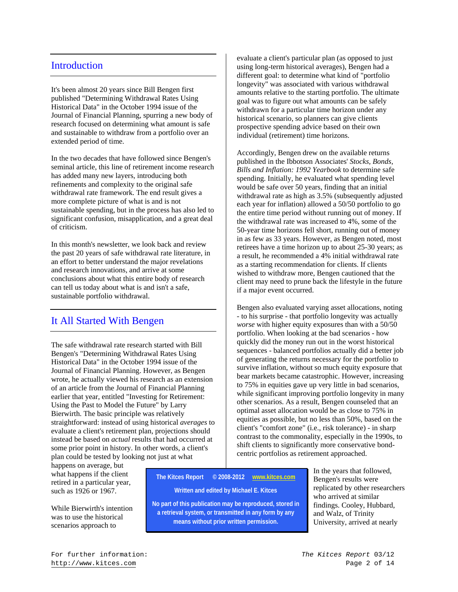#### **Introduction**

It's been almost 20 years since Bill Bengen first published "Determining Withdrawal Rates Using Historical Data" in the October 1994 issue of the Journal of Financial Planning, spurring a new body of research focused on determining what amount is safe and sustainable to withdraw from a portfolio over an extended period of time.

In the two decades that have followed since Bengen's seminal article, this line of retirement income research has added many new layers, introducing both refinements and complexity to the original safe withdrawal rate framework. The end result gives a more complete picture of what is and is not sustainable spending, but in the process has also led to significant confusion, misapplication, and a great deal of criticism.

In this month's newsletter, we look back and review the past 20 years of safe withdrawal rate literature, in an effort to better understand the major revelations and research innovations, and arrive at some conclusions about what this entire body of research can tell us today about what is and isn't a safe, sustainable portfolio withdrawal.

# It All Started With Bengen

The safe withdrawal rate research started with Bill Bengen's "Determining Withdrawal Rates Using Historical Data" in the October 1994 issue of the Journal of Financial Planning. However, as Bengen wrote, he actually viewed his research as an extension of an article from the Journal of Financial Planning earlier that year, entitled "Investing for Retirement: Using the Past to Model the Future" by Larry Bierwirth. The basic principle was relatively straightforward: instead of using historical *averages* to evaluate a client's retirement plan, projections should instead be based on *actual* results that had occurred at some prior point in history. In other words, a client's plan could be tested by looking not just at what

happens on average, but what happens if the client retired in a particular year, such as 1926 or 1967.

While Bierwirth's intention was to use the historical scenarios approach to

evaluate a client's particular plan (as opposed to just using long-term historical averages), Bengen had a different goal: to determine what kind of "portfolio longevity" was associated with various withdrawal amounts relative to the starting portfolio. The ultimate goal was to figure out what amounts can be safely withdrawn for a particular time horizon under any historical scenario, so planners can give clients prospective spending advice based on their own individual (retirement) time horizons.

Accordingly, Bengen drew on the available returns published in the Ibbotson Associates' *Stocks, Bonds, Bills and Inflation: 1992 Yearbook* to determine safe spending. Initially, he evaluated what spending level would be safe over 50 years, finding that an initial withdrawal rate as high as 3.5% (subsequently adjusted each year for inflation) allowed a 50/50 portfolio to go the entire time period without running out of money. If the withdrawal rate was increased to 4%, some of the 50-year time horizons fell short, running out of money in as few as 33 years. However, as Bengen noted, most retirees have a time horizon up to about 25-30 years; as a result, he recommended a 4% initial withdrawal rate as a starting recommendation for clients. If clients wished to withdraw more, Bengen cautioned that the client may need to prune back the lifestyle in the future if a major event occurred.

Bengen also evaluated varying asset allocations, noting - to his surprise - that portfolio longevity was actually *worse* with higher equity exposures than with a 50/50 portfolio. When looking at the bad scenarios - how quickly did the money run out in the worst historical sequences - balanced portfolios actually did a better job of generating the returns necessary for the portfolio to survive inflation, without so much equity exposure that bear markets became catastrophic. However, increasing to 75% in equities gave up very little in bad scenarios, while significant improving portfolio longevity in many other scenarios. As a result, Bengen counseled that an optimal asset allocation would be as close to 75% in equities as possible, but no less than 50%, based on the client's "comfort zone" (i.e., risk tolerance) - in sharp contrast to the commonality, especially in the 1990s, to shift clients to significantly more conservative bondcentric portfolios as retirement approached.

**The Kitces Report © 2008-2012 www.kitces.com Written and edited by Michael E. Kitces** 

**No part of this publication may be reproduced, stored in a retrieval system, or transmitted in any form by any means without prior written permission.** 

In the years that followed, Bengen's results were replicated by other researchers who arrived at similar findings. Cooley, Hubbard, and Walz, of Trinity University, arrived at nearly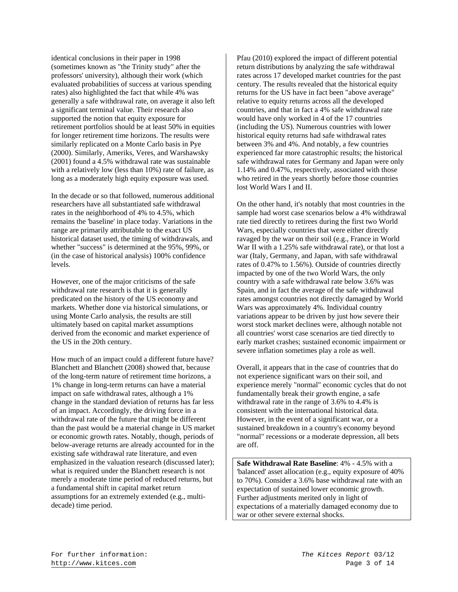identical conclusions in their paper in 1998 (sometimes known as "the Trinity study" after the professors' university), although their work (which evaluated probabilities of success at various spending rates) also highlighted the fact that while 4% was generally a safe withdrawal rate, on average it also left a significant terminal value. Their research also supported the notion that equity exposure for retirement portfolios should be at least 50% in equities for longer retirement time horizons. The results were similarly replicated on a Monte Carlo basis in Pye (2000). Similarly, Ameriks, Veres, and Warshawsky (2001) found a 4.5% withdrawal rate was sustainable with a relatively low (less than 10%) rate of failure, as long as a moderately high equity exposure was used.

In the decade or so that followed, numerous additional researchers have all substantiated safe withdrawal rates in the neighborhood of 4% to 4.5%, which remains the 'baseline' in place today. Variations in the range are primarily attributable to the exact US historical dataset used, the timing of withdrawals, and whether "success" is determined at the 95%, 99%, or (in the case of historical analysis) 100% confidence levels.

However, one of the major criticisms of the safe withdrawal rate research is that it is generally predicated on the history of the US economy and markets. Whether done via historical simulations, or using Monte Carlo analysis, the results are still ultimately based on capital market assumptions derived from the economic and market experience of the US in the 20th century.

How much of an impact could a different future have? Blanchett and Blanchett (2008) showed that, because of the long-term nature of retirement time horizons, a 1% change in long-term returns can have a material impact on safe withdrawal rates, although a 1% change in the standard deviation of returns has far less of an impact. Accordingly, the driving force in a withdrawal rate of the future that might be different than the past would be a material change in US market or economic growth rates. Notably, though, periods of below-average returns are already accounted for in the existing safe withdrawal rate literature, and even emphasized in the valuation research (discussed later); what is required under the Blanchett research is not merely a moderate time period of reduced returns, but a fundamental shift in capital market return assumptions for an extremely extended (e.g., multidecade) time period.

Pfau (2010) explored the impact of different potential return distributions by analyzing the safe withdrawal rates across 17 developed market countries for the past century. The results revealed that the historical equity returns for the US have in fact been "above average" relative to equity returns across all the developed countries, and that in fact a 4% safe withdrawal rate would have only worked in 4 of the 17 countries (including the US). Numerous countries with lower historical equity returns had safe withdrawal rates between 3% and 4%. And notably, a few countries experienced far more catastrophic results; the historical safe withdrawal rates for Germany and Japan were only 1.14% and 0.47%, respectively, associated with those who retired in the years shortly before those countries lost World Wars I and II.

On the other hand, it's notably that most countries in the sample had worst case scenarios below a 4% withdrawal rate tied directly to retirees during the first two World Wars, especially countries that were either directly ravaged by the war on their soil (e.g., France in World War II with a 1.25% safe withdrawal rate), or that lost a war (Italy, Germany, and Japan, with safe withdrawal rates of 0.47% to 1.56%). Outside of countries directly impacted by one of the two World Wars, the only country with a safe withdrawal rate below 3.6% was Spain, and in fact the average of the safe withdrawal rates amongst countries not directly damaged by World Wars was approximately 4%. Individual country variations appear to be driven by just how severe their worst stock market declines were, although notable not all countries' worst case scenarios are tied directly to early market crashes; sustained economic impairment or severe inflation sometimes play a role as well.

Overall, it appears that in the case of countries that do not experience significant wars on their soil, and experience merely "normal" economic cycles that do not fundamentally break their growth engine, a safe withdrawal rate in the range of 3.6% to 4.4% is consistent with the international historical data. However, in the event of a significant war, or a sustained breakdown in a country's economy beyond "normal" recessions or a moderate depression, all bets are off.

**Safe Withdrawal Rate Baseline**: 4% - 4.5% with a 'balanced' asset allocation (e.g., equity exposure of 40% to 70%). Consider a 3.6% base withdrawal rate with an expectation of sustained lower economic growth. Further adjustments merited only in light of expectations of a materially damaged economy due to war or other severe external shocks.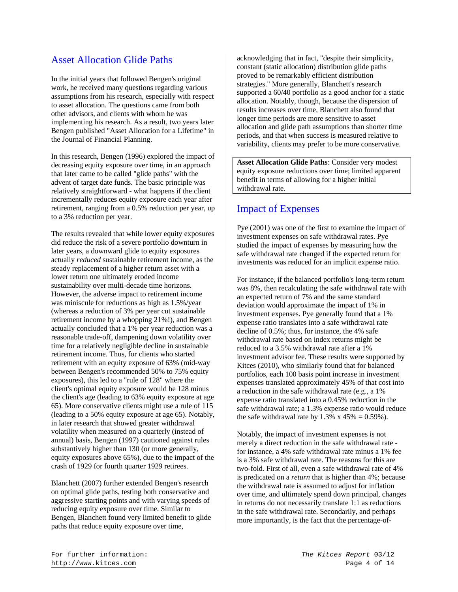## Asset Allocation Glide Paths

In the initial years that followed Bengen's original work, he received many questions regarding various assumptions from his research, especially with respect to asset allocation. The questions came from both other advisors, and clients with whom he was implementing his research. As a result, two years later Bengen published "Asset Allocation for a Lifetime" in the Journal of Financial Planning.

In this research, Bengen (1996) explored the impact of decreasing equity exposure over time, in an approach that later came to be called "glide paths" with the advent of target date funds. The basic principle was relatively straightforward - what happens if the client incrementally reduces equity exposure each year after retirement, ranging from a 0.5% reduction per year, up to a 3% reduction per year.

The results revealed that while lower equity exposures did reduce the risk of a severe portfolio downturn in later years, a downward glide to equity exposures actually *reduced* sustainable retirement income, as the steady replacement of a higher return asset with a lower return one ultimately eroded income sustainability over multi-decade time horizons. However, the adverse impact to retirement income was miniscule for reductions as high as 1.5%/year (whereas a reduction of 3% per year cut sustainable retirement income by a whopping 21%!), and Bengen actually concluded that a 1% per year reduction was a reasonable trade-off, dampening down volatility over time for a relatively negligible decline in sustainable retirement income. Thus, for clients who started retirement with an equity exposure of 63% (mid-way between Bengen's recommended 50% to 75% equity exposures), this led to a "rule of 128" where the client's optimal equity exposure would be 128 minus the client's age (leading to 63% equity exposure at age 65). More conservative clients might use a rule of 115 (leading to a 50% equity exposure at age 65). Notably, in later research that showed greater withdrawal volatility when measured on a quarterly (instead of annual) basis, Bengen (1997) cautioned against rules substantively higher than 130 (or more generally, equity exposures above 65%), due to the impact of the crash of 1929 for fourth quarter 1929 retirees.

Blanchett (2007) further extended Bengen's research on optimal glide paths, testing both conservative and aggressive starting points and with varying speeds of reducing equity exposure over time. Similar to Bengen, Blanchett found very limited benefit to glide paths that reduce equity exposure over time,

acknowledging that in fact, "despite their simplicity, constant (static allocation) distribution glide paths proved to be remarkably efficient distribution strategies." More generally, Blanchett's research supported a 60/40 portfolio as a good anchor for a static allocation. Notably, though, because the dispersion of results increases over time, Blanchett also found that longer time periods are more sensitive to asset allocation and glide path assumptions than shorter time periods, and that when success is measured relative to variability, clients may prefer to be more conservative.

**Asset Allocation Glide Paths**: Consider very modest equity exposure reductions over time; limited apparent benefit in terms of allowing for a higher initial withdrawal rate.

#### Impact of Expenses

Pye (2001) was one of the first to examine the impact of investment expenses on safe withdrawal rates. Pye studied the impact of expenses by measuring how the safe withdrawal rate changed if the expected return for investments was reduced for an implicit expense ratio.

For instance, if the balanced portfolio's long-term return was 8%, then recalculating the safe withdrawal rate with an expected return of 7% and the same standard deviation would approximate the impact of 1% in investment expenses. Pye generally found that a 1% expense ratio translates into a safe withdrawal rate decline of 0.5%; thus, for instance, the 4% safe withdrawal rate based on index returns might be reduced to a 3.5% withdrawal rate after a 1% investment advisor fee. These results were supported by Kitces (2010), who similarly found that for balanced portfolios, each 100 basis point increase in investment expenses translated approximately 45% of that cost into a reduction in the safe withdrawal rate (e.g., a 1% expense ratio translated into a 0.45% reduction in the safe withdrawal rate; a 1.3% expense ratio would reduce the safe withdrawal rate by  $1.3\% \times 45\% = 0.59\%$ ).

Notably, the impact of investment expenses is not merely a direct reduction in the safe withdrawal rate for instance, a 4% safe withdrawal rate minus a 1% fee is a 3% safe withdrawal rate. The reasons for this are two-fold. First of all, even a safe withdrawal rate of 4% is predicated on a *return* that is higher than 4%; because the withdrawal rate is assumed to adjust for inflation over time, and ultimately spend down principal, changes in returns do not necessarily translate 1:1 as reductions in the safe withdrawal rate. Secondarily, and perhaps more importantly, is the fact that the percentage-of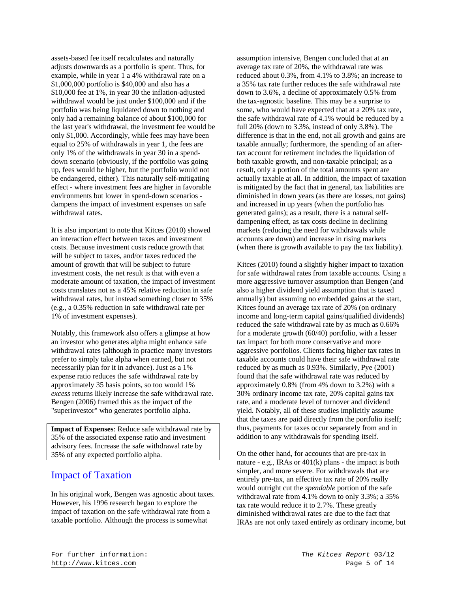assets-based fee itself recalculates and naturally adjusts downwards as a portfolio is spent. Thus, for example, while in year 1 a 4% withdrawal rate on a \$1,000,000 portfolio is \$40,000 and also has a \$10,000 fee at 1%, in year 30 the inflation-adjusted withdrawal would be just under \$100,000 and if the portfolio was being liquidated down to nothing and only had a remaining balance of about \$100,000 for the last year's withdrawal, the investment fee would be only \$1,000. Accordingly, while fees may have been equal to 25% of withdrawals in year 1, the fees are only 1% of the withdrawals in year 30 in a spenddown scenario (obviously, if the portfolio was going up, fees would be higher, but the portfolio would not be endangered, either). This naturally self-mitigating effect - where investment fees are higher in favorable environments but lower in spend-down scenarios dampens the impact of investment expenses on safe withdrawal rates.

It is also important to note that Kitces (2010) showed an interaction effect between taxes and investment costs. Because investment costs reduce growth that will be subject to taxes, and/or taxes reduced the amount of growth that will be subject to future investment costs, the net result is that with even a moderate amount of taxation, the impact of investment costs translates not as a 45% relative reduction in safe withdrawal rates, but instead something closer to 35% (e.g., a 0.35% reduction in safe withdrawal rate per 1% of investment expenses).

Notably, this framework also offers a glimpse at how an investor who generates alpha might enhance safe withdrawal rates (although in practice many investors prefer to simply take alpha when earned, but not necessarily plan for it in advance). Just as a 1% expense ratio reduces the safe withdrawal rate by approximately 35 basis points, so too would 1% *excess* returns likely increase the safe withdrawal rate. Bengen (2006) framed this as the impact of the "superinvestor" who generates portfolio alpha.

**Impact of Expenses**: Reduce safe withdrawal rate by 35% of the associated expense ratio and investment advisory fees. Increase the safe withdrawal rate by 35% of any expected portfolio alpha.

#### Impact of Taxation

In his original work, Bengen was agnostic about taxes. However, his 1996 research began to explore the impact of taxation on the safe withdrawal rate from a taxable portfolio. Although the process is somewhat

assumption intensive, Bengen concluded that at an average tax rate of 20%, the withdrawal rate was reduced about 0.3%, from 4.1% to 3.8%; an increase to a 35% tax rate further reduces the safe withdrawal rate down to 3.6%, a decline of approximately 0.5% from the tax-agnostic baseline. This may be a surprise to some, who would have expected that at a 20% tax rate, the safe withdrawal rate of 4.1% would be reduced by a full 20% (down to 3.3%, instead of only 3.8%). The difference is that in the end, not all growth and gains are taxable annually; furthermore, the spending of an aftertax account for retirement includes the liquidation of both taxable growth, and non-taxable principal; as a result, only a portion of the total amounts spent are actually taxable at all. In addition, the impact of taxation is mitigated by the fact that in general, tax liabilities are diminished in down years (as there are losses, not gains) and increased in up years (when the portfolio has generated gains); as a result, there is a natural selfdampening effect, as tax costs decline in declining markets (reducing the need for withdrawals while accounts are down) and increase in rising markets (when there is growth available to pay the tax liability).

Kitces (2010) found a slightly higher impact to taxation for safe withdrawal rates from taxable accounts. Using a more aggressive turnover assumption than Bengen (and also a higher dividend yield assumption that is taxed annually) but assuming no embedded gains at the start, Kitces found an average tax rate of 20% (on ordinary income and long-term capital gains/qualified dividends) reduced the safe withdrawal rate by as much as 0.66% for a moderate growth (60/40) portfolio, with a lesser tax impact for both more conservative and more aggressive portfolios. Clients facing higher tax rates in taxable accounts could have their safe withdrawal rate reduced by as much as 0.93%. Similarly, Pye (2001) found that the safe withdrawal rate was reduced by approximately 0.8% (from 4% down to 3.2%) with a 30% ordinary income tax rate, 20% capital gains tax rate, and a moderate level of turnover and dividend yield. Notably, all of these studies implicitly assume that the taxes are paid directly from the portfolio itself; thus, payments for taxes occur separately from and in addition to any withdrawals for spending itself.

On the other hand, for accounts that are pre-tax in nature - e.g., IRAs or 401(k) plans - the impact is both simpler, and more severe. For withdrawals that are entirely pre-tax, an effective tax rate of 20% really would outright cut the *spendable* portion of the safe withdrawal rate from 4.1% down to only 3.3%; a 35% tax rate would reduce it to 2.7%. These greatly diminished withdrawal rates are due to the fact that IRAs are not only taxed entirely as ordinary income, but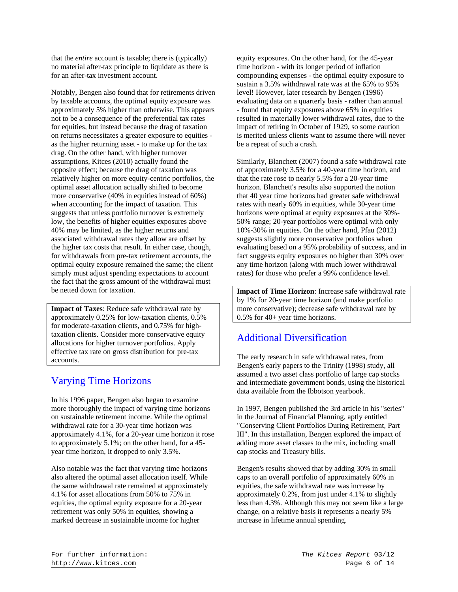that the *entire* account is taxable; there is (typically) no material after-tax principle to liquidate as there is for an after-tax investment account.

Notably, Bengen also found that for retirements driven by taxable accounts, the optimal equity exposure was approximately 5% higher than otherwise. This appears not to be a consequence of the preferential tax rates for equities, but instead because the drag of taxation on returns necessitates a greater exposure to equities as the higher returning asset - to make up for the tax drag. On the other hand, with higher turnover assumptions, Kitces (2010) actually found the opposite effect; because the drag of taxation was relatively higher on more equity-centric portfolios, the optimal asset allocation actually shifted to become more conservative (40% in equities instead of 60%) when accounting for the impact of taxation. This suggests that unless portfolio turnover is extremely low, the benefits of higher equities exposures above 40% may be limited, as the higher returns and associated withdrawal rates they allow are offset by the higher tax costs that result. In either case, though, for withdrawals from pre-tax retirement accounts, the optimal equity exposure remained the same; the client simply must adjust spending expectations to account the fact that the gross amount of the withdrawal must be netted down for taxation.

**Impact of Taxes**: Reduce safe withdrawal rate by approximately 0.25% for low-taxation clients, 0.5% for moderate-taxation clients, and 0.75% for hightaxation clients. Consider more conservative equity allocations for higher turnover portfolios. Apply effective tax rate on gross distribution for pre-tax accounts.

## Varying Time Horizons

In his 1996 paper, Bengen also began to examine more thoroughly the impact of varying time horizons on sustainable retirement income. While the optimal withdrawal rate for a 30-year time horizon was approximately 4.1%, for a 20-year time horizon it rose to approximately 5.1%; on the other hand, for a 45 year time horizon, it dropped to only 3.5%.

Also notable was the fact that varying time horizons also altered the optimal asset allocation itself. While the same withdrawal rate remained at approximately 4.1% for asset allocations from 50% to 75% in equities, the optimal equity exposure for a 20-year retirement was only 50% in equities, showing a marked decrease in sustainable income for higher

equity exposures. On the other hand, for the 45-year time horizon - with its longer period of inflation compounding expenses - the optimal equity exposure to sustain a 3.5% withdrawal rate was at the 65% to 95% level! However, later research by Bengen (1996) evaluating data on a quarterly basis - rather than annual - found that equity exposures above 65% in equities resulted in materially lower withdrawal rates, due to the impact of retiring in October of 1929, so some caution is merited unless clients want to assume there will never be a repeat of such a crash.

Similarly, Blanchett (2007) found a safe withdrawal rate of approximately 3.5% for a 40-year time horizon, and that the rate rose to nearly 5.5% for a 20-year time horizon. Blanchett's results also supported the notion that 40 year time horizons had greater safe withdrawal rates with nearly 60% in equities, while 30-year time horizons were optimal at equity exposures at the 30%- 50% range; 20-year portfolios were optimal with only 10%-30% in equities. On the other hand, Pfau (2012) suggests slightly more conservative portfolios when evaluating based on a 95% probability of success, and in fact suggests equity exposures no higher than 30% over any time horizon (along with much lower withdrawal rates) for those who prefer a 99% confidence level.

**Impact of Time Horizon**: Increase safe withdrawal rate by 1% for 20-year time horizon (and make portfolio more conservative); decrease safe withdrawal rate by 0.5% for 40+ year time horizons.

# Additional Diversification

The early research in safe withdrawal rates, from Bengen's early papers to the Trinity (1998) study, all assumed a two asset class portfolio of large cap stocks and intermediate government bonds, using the historical data available from the Ibbotson yearbook.

In 1997, Bengen published the 3rd article in his "series" in the Journal of Financial Planning, aptly entitled "Conserving Client Portfolios During Retirement, Part III". In this installation, Bengen explored the impact of adding more asset classes to the mix, including small cap stocks and Treasury bills.

Bengen's results showed that by adding 30% in small caps to an overall portfolio of approximately 60% in equities, the safe withdrawal rate was increase by approximately 0.2%, from just under 4.1% to slightly less than 4.3%. Although this may not seem like a large change, on a relative basis it represents a nearly 5% increase in lifetime annual spending.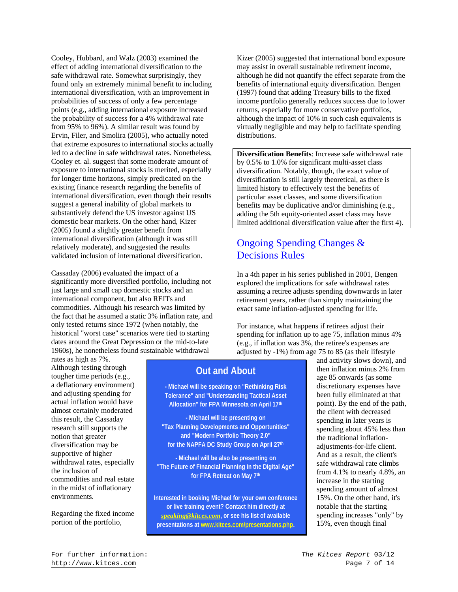Cooley, Hubbard, and Walz (2003) examined the effect of adding international diversification to the safe withdrawal rate. Somewhat surprisingly, they found only an extremely minimal benefit to including international diversification, with an improvement in probabilities of success of only a few percentage points (e.g., adding international exposure increased the probability of success for a 4% withdrawal rate from 95% to 96%). A similar result was found by Ervin, Filer, and Smolira (2005), who actually noted that extreme exposures to international stocks actually led to a decline in safe withdrawal rates. Nonetheless, Cooley et. al. suggest that some moderate amount of exposure to international stocks is merited, especially for longer time horizons, simply predicated on the existing finance research regarding the benefits of international diversification, even though their results suggest a general inability of global markets to substantively defend the US investor against US domestic bear markets. On the other hand, Kizer (2005) found a slightly greater benefit from international diversification (although it was still relatively moderate), and suggested the results validated inclusion of international diversification.

Cassaday (2006) evaluated the impact of a significantly more diversified portfolio, including not just large and small cap domestic stocks and an international component, but also REITs and commodities. Although his research was limited by the fact that he assumed a static 3% inflation rate, and only tested returns since 1972 (when notably, the historical "worst case" scenarios were tied to starting dates around the Great Depression or the mid-to-late 1960s), he nonetheless found sustainable withdrawal

rates as high as 7%. Although testing through tougher time periods (e.g., a deflationary environment) and adjusting spending for actual inflation would have almost certainly moderated this result, the Cassaday research still supports the notion that greater diversification may be supportive of higher withdrawal rates, especially the inclusion of commodities and real estate in the midst of inflationary environments.

Regarding the fixed income portion of the portfolio,

Kizer (2005) suggested that international bond exposure may assist in overall sustainable retirement income, although he did not quantify the effect separate from the benefits of international equity diversification. Bengen (1997) found that adding Treasury bills to the fixed income portfolio generally reduces success due to lower returns, especially for more conservative portfolios, although the impact of 10% in such cash equivalents is virtually negligible and may help to facilitate spending distributions.

**Diversification Benefits**: Increase safe withdrawal rate by 0.5% to 1.0% for significant multi-asset class diversification. Notably, though, the exact value of diversification is still largely theoretical, as there is limited history to effectively test the benefits of particular asset classes, and some diversification benefits may be duplicative and/or diminishing (e.g., adding the 5th equity-oriented asset class may have limited additional diversification value after the first 4).

# Ongoing Spending Changes & Decisions Rules

In a 4th paper in his series published in 2001, Bengen explored the implications for safe withdrawal rates assuming a retiree adjusts spending downwards in later retirement years, rather than simply maintaining the exact same inflation-adjusted spending for life.

For instance, what happens if retirees adjust their spending for inflation up to age 75, inflation minus 4% (e.g., if inflation was 3%, the retiree's expenses are adjusted by -1%) from age 75 to 85 (as their lifestyle

## **Out and About**

**- Michael will be speaking on "Rethinking Risk Tolerance" and "Understanding Tactical Asset Allocation" for FPA Minnesota on April 17th**

**- Michael will be presenting on "Tax Planning Developments and Opportunities" and "Modern Portfolio Theory 2.0" for the NAPFA DC Study Group on April 27th**

**- Michael will be also be presenting on "The Future of Financial Planning in the Digital Age" for FPA Retreat on May 7th** 

**Interested in booking Michael for your own conference or live training event? Contact him directly at**  *speaking@kitces.com***, or see his list of available presentations at www.kitces.com/presentations.php.** 

and activity slows down), and then inflation minus 2% from age 85 onwards (as some discretionary expenses have been fully eliminated at that point). By the end of the path, the client with decreased spending in later years is spending about 45% less than the traditional inflationadjustments-for-life client. And as a result, the client's safe withdrawal rate climbs from 4.1% to nearly 4.8%, an increase in the starting spending amount of almost 15%. On the other hand, it's notable that the starting spending increases "only" by 15%, even though final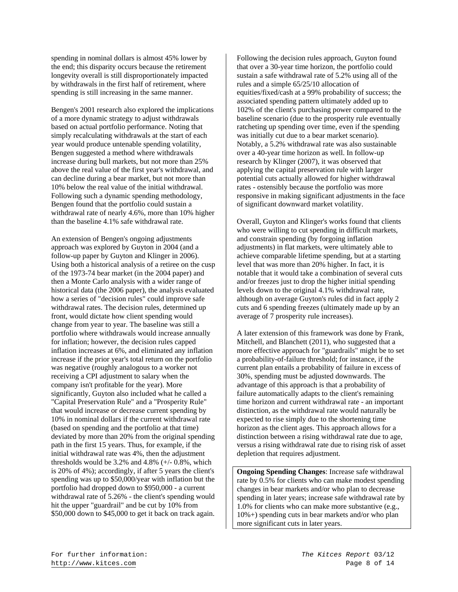spending in nominal dollars is almost 45% lower by the end; this disparity occurs because the retirement longevity overall is still disproportionately impacted by withdrawals in the first half of retirement, where spending is still increasing in the same manner.

Bengen's 2001 research also explored the implications of a more dynamic strategy to adjust withdrawals based on actual portfolio performance. Noting that simply recalculating withdrawals at the start of each year would produce untenable spending volatility, Bengen suggested a method where withdrawals increase during bull markets, but not more than 25% above the real value of the first year's withdrawal, and can decline during a bear market, but not more than 10% below the real value of the initial withdrawal. Following such a dynamic spending methodology, Bengen found that the portfolio could sustain a withdrawal rate of nearly 4.6%, more than 10% higher than the baseline 4.1% safe withdrawal rate.

An extension of Bengen's ongoing adjustments approach was explored by Guyton in 2004 (and a follow-up paper by Guyton and Klinger in 2006). Using both a historical analysis of a retiree on the cusp of the 1973-74 bear market (in the 2004 paper) and then a Monte Carlo analysis with a wider range of historical data (the 2006 paper), the analysis evaluated how a series of "decision rules" could improve safe withdrawal rates. The decision rules, determined up front, would dictate how client spending would change from year to year. The baseline was still a portfolio where withdrawals would increase annually for inflation; however, the decision rules capped inflation increases at 6%, and eliminated any inflation increase if the prior year's total return on the portfolio was negative (roughly analogous to a worker not receiving a CPI adjustment to salary when the company isn't profitable for the year). More significantly, Guyton also included what he called a "Capital Preservation Rule" and a "Prosperity Rule" that would increase or decrease current spending by 10% in nominal dollars if the current withdrawal rate (based on spending and the portfolio at that time) deviated by more than 20% from the original spending path in the first 15 years. Thus, for example, if the initial withdrawal rate was 4%, then the adjustment thresholds would be  $3.2\%$  and  $4.8\%$  ( $+/-$  0.8%, which is 20% of 4%); accordingly, if after 5 years the client's spending was up to \$50,000/year with inflation but the portfolio had dropped down to \$950,000 - a current withdrawal rate of 5.26% - the client's spending would hit the upper "guardrail" and be cut by 10% from \$50,000 down to \$45,000 to get it back on track again.

Following the decision rules approach, Guyton found that over a 30-year time horizon, the portfolio could sustain a safe withdrawal rate of 5.2% using all of the rules and a simple 65/25/10 allocation of equities/fixed/cash at a 99% probability of success; the associated spending pattern ultimately added up to 102% of the client's purchasing power compared to the baseline scenario (due to the prosperity rule eventually ratcheting up spending over time, even if the spending was initially cut due to a bear market scenario). Notably, a 5.2% withdrawal rate was also sustainable over a 40-year time horizon as well. In follow-up research by Klinger (2007), it was observed that applying the capital preservation rule with larger potential cuts actually allowed for higher withdrawal rates - ostensibly because the portfolio was more responsive in making significant adjustments in the face of significant downward market volatility.

Overall, Guyton and Klinger's works found that clients who were willing to cut spending in difficult markets, and constrain spending (by forgoing inflation adjustments) in flat markets, were ultimately able to achieve comparable lifetime spending, but at a starting level that was more than 20% higher. In fact, it is notable that it would take a combination of several cuts and/or freezes just to drop the higher initial spending levels down to the original 4.1% withdrawal rate, although on average Guyton's rules did in fact apply 2 cuts and 6 spending freezes (ultimately made up by an average of 7 prosperity rule increases).

A later extension of this framework was done by Frank, Mitchell, and Blanchett (2011), who suggested that a more effective approach for "guardrails" might be to set a probability-of-failure threshold; for instance, if the current plan entails a probability of failure in excess of 30%, spending must be adjusted downwards. The advantage of this approach is that a probability of failure automatically adapts to the client's remaining time horizon and current withdrawal rate - an important distinction, as the withdrawal rate would naturally be expected to rise simply due to the shortening time horizon as the client ages. This approach allows for a distinction between a rising withdrawal rate due to age, versus a rising withdrawal rate due to rising risk of asset depletion that requires adjustment.

**Ongoing Spending Changes**: Increase safe withdrawal rate by 0.5% for clients who can make modest spending changes in bear markets and/or who plan to decrease spending in later years; increase safe withdrawal rate by 1.0% for clients who can make more substantive (e.g., 10%+) spending cuts in bear markets and/or who plan more significant cuts in later years.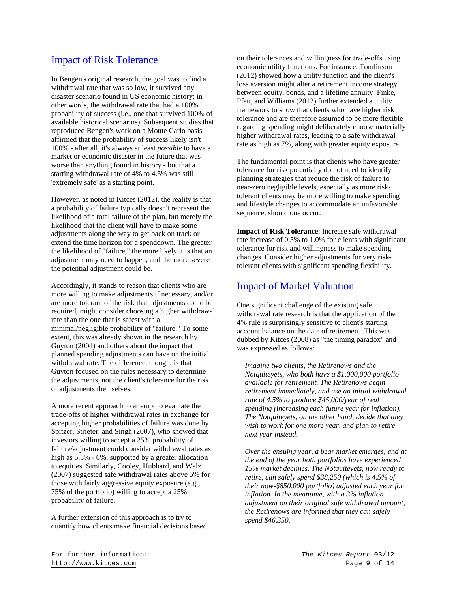## Impact of Risk Tolerance

In Bengen's original research, the goal was to find a withdrawal rate that was so low, it survived any disaster scenario found in US economic history; in other words, the withdrawal rate that had a 100% probability of success (i.e., one that survived 100% of available historical scenarios). Subsequent studies that reproduced Bengen's work on a Monte Carlo basis affirmed that the probability of success likely isn't 100% - after all, it's always at least *possible* to have a market or economic disaster in the future that was worse than anything found in history - but that a starting withdrawal rate of 4% to 4.5% was still 'extremely safe' as a starting point.

However, as noted in Kitces (2012), the reality is that a probability of failure typically doesn't represent the likelihood of a total failure of the plan, but merely the likelihood that the client will have to make some adjustments along the way to get back on track or extend the time horizon for a spenddown. The greater the likelihood of "failure," the more likely it is that an adjustment may need to happen, and the more severe the potential adjustment could be.

Accordingly, it stands to reason that clients who are more willing to make adjustments if necessary, and/or are more tolerant of the risk that adjustments could be required, might consider choosing a higher withdrawal rate than the one that is safest with a minimal/negligible probability of "failure." To some extent, this was already shown in the research by Guyton (2004) and others about the impact that planned spending adjustments can have on the initial withdrawal rate. The difference, though, is that Guyton focused on the rules necessary to determine the adjustments, not the client's tolerance for the risk of adjustments themselves.

A more recent approach to attempt to evaluate the trade-offs of higher withdrawal rates in exchange for accepting higher probabilities of failure was done by Spitzer, Strieter, and Singh (2007), who showed that investors willing to accept a 25% probability of failure/adjustment could consider withdrawal rates as high as 5.5% - 6%, supported by a greater allocation to equities. Similarly, Cooley, Hubbard, and Walz (2007) suggested safe withdrawal rates above 5% for those with fairly aggressive equity exposure (e.g., 75% of the portfolio) willing to accept a 25% probability of failure.

A further extension of this approach is to try to quantify how clients make financial decisions based on their tolerances and willingness for trade-offs using economic utility functions. For instance, Tomlinson (2012) showed how a utility function and the client's loss aversion might alter a retirement income strategy between equity, bonds, and a lifetime annuity. Finke, Pfau, and Williams (2012) further extended a utility framework to show that clients who have higher risk tolerance and are therefore assumed to be more flexible regarding spending might deliberately choose materially higher withdrawal rates, leading to a safe withdrawal rate as high as 7%, along with greater equity exposure.

The fundamental point is that clients who have greater tolerance for risk potentially do not need to identify planning strategies that reduce the risk of failure to near-zero negligible levels, especially as more risktolerant clients may be more willing to make spending and lifestyle changes to accommodate an unfavorable sequence, should one occur.

**Impact of Risk Tolerance**: Increase safe withdrawal rate increase of 0.5% to 1.0% for clients with significant tolerance for risk and willingness to make spending changes. Consider higher adjustments for very risktolerant clients with significant spending flexibility.

#### Impact of Market Valuation

One significant challenge of the existing safe withdrawal rate research is that the application of the 4% rule is surprisingly sensitive to client's starting account balance on the date of retirement. This was dubbed by Kitces (2008) as "the timing paradox" and was expressed as follows:

*Imagine two clients, the Retirenows and the Notquiteyets, who both have a \$1,000,000 portfolio available for retirement. The Retirenows begin retirement immediately, and use an initial withdrawal rate of 4.5% to produce \$45,000/year of real spending (increasing each future year for inflation). The Notquiteyets, on the other hand, decide that they wish to work for one more year, and plan to retire next year instead.* 

*Over the ensuing year, a bear market emerges, and at the end of the year both portfolios have experienced 15% market declines. The Notquiteyets, now ready to retire, can safely spend \$38,250 (which is 4.5% of their now-\$850,000 portfolio) adjusted each year for inflation. In the meantime, with a 3% inflation adjustment on their original safe withdrawal amount, the Retirenows are informed that they can safely spend \$46,350.*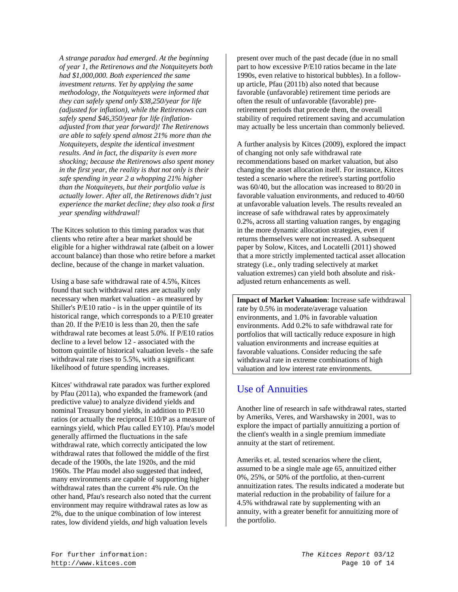*A strange paradox had emerged. At the beginning of year 1, the Retirenows and the Notquiteyets both had \$1,000,000. Both experienced the same investment returns. Yet by applying the same methodology, the Notquiteyets were informed that they can safely spend only \$38,250/year for life (adjusted for inflation), while the Retirenows can safely spend \$46,350/year for life (inflationadjusted from that year forward)! The Retirenows are able to safely spend almost 21% more than the Notquiteyets, despite the identical investment results. And in fact, the disparity is even more shocking; because the Retirenows also spent money in the first year, the reality is that not only is their safe spending in year 2 a whopping 21% higher than the Notquiteyets, but their portfolio value is actually lower. After all, the Retirenows didn't just experience the market decline; they also took a first year spending withdrawal!* 

The Kitces solution to this timing paradox was that clients who retire after a bear market should be eligible for a higher withdrawal rate (albeit on a lower account balance) than those who retire before a market decline, because of the change in market valuation.

Using a base safe withdrawal rate of 4.5%, Kitces found that such withdrawal rates are actually only necessary when market valuation - as measured by Shiller's P/E10 ratio - is in the upper quintile of its historical range, which corresponds to a P/E10 greater than 20. If the P/E10 is less than 20, then the safe withdrawal rate becomes at least 5.0%. If P/E10 ratios decline to a level below 12 - associated with the bottom quintile of historical valuation levels - the safe withdrawal rate rises to 5.5%, with a significant likelihood of future spending increases.

Kitces' withdrawal rate paradox was further explored by Pfau (2011a), who expanded the framework (and predictive value) to analyze dividend yields and nominal Treasury bond yields, in addition to P/E10 ratios (or actually the reciprocal E10/P as a measure of earnings yield, which Pfau called EY10). Pfau's model generally affirmed the fluctuations in the safe withdrawal rate, which correctly anticipated the low withdrawal rates that followed the middle of the first decade of the 1900s, the late 1920s, and the mid 1960s. The Pfau model also suggested that indeed, many environments are capable of supporting higher withdrawal rates than the current 4% rule. On the other hand, Pfau's research also noted that the current environment may require withdrawal rates as low as 2%, due to the unique combination of low interest rates, low dividend yields, *and* high valuation levels

present over much of the past decade (due in no small part to how excessive P/E10 ratios became in the late 1990s, even relative to historical bubbles). In a followup article, Pfau (2011b) also noted that because favorable (unfavorable) retirement time periods are often the result of unfavorable (favorable) preretirement periods that precede them, the overall stability of required retirement saving and accumulation may actually be less uncertain than commonly believed.

A further analysis by Kitces (2009), explored the impact of changing not only safe withdrawal rate recommendations based on market valuation, but also changing the asset allocation itself. For instance, Kitces tested a scenario where the retiree's starting portfolio was 60/40, but the allocation was increased to 80/20 in favorable valuation environments, and reduced to 40/60 at unfavorable valuation levels. The results revealed an increase of safe withdrawal rates by approximately 0.2%, across all starting valuation ranges, by engaging in the more dynamic allocation strategies, even if returns themselves were not increased. A subsequent paper by Solow, Kitces, and Locatelli (2011) showed that a more strictly implemented tactical asset allocation strategy (i.e., only trading selectively at market valuation extremes) can yield both absolute and riskadjusted return enhancements as well.

**Impact of Market Valuation**: Increase safe withdrawal rate by 0.5% in moderate/average valuation environments, and 1.0% in favorable valuation environments. Add 0.2% to safe withdrawal rate for portfolios that will tactically reduce exposure in high valuation environments and increase equities at favorable valuations. Consider reducing the safe withdrawal rate in extreme combinations of high valuation and low interest rate environments.

#### Use of Annuities

Another line of research in safe withdrawal rates, started by Ameriks, Veres, and Warshawsky in 2001, was to explore the impact of partially annuitizing a portion of the client's wealth in a single premium immediate annuity at the start of retirement.

Ameriks et. al. tested scenarios where the client, assumed to be a single male age 65, annuitized either 0%, 25%, or 50% of the portfolio, at then-current annuitization rates. The results indicated a moderate but material reduction in the probability of failure for a 4.5% withdrawal rate by supplementing with an annuity, with a greater benefit for annuitizing more of the portfolio.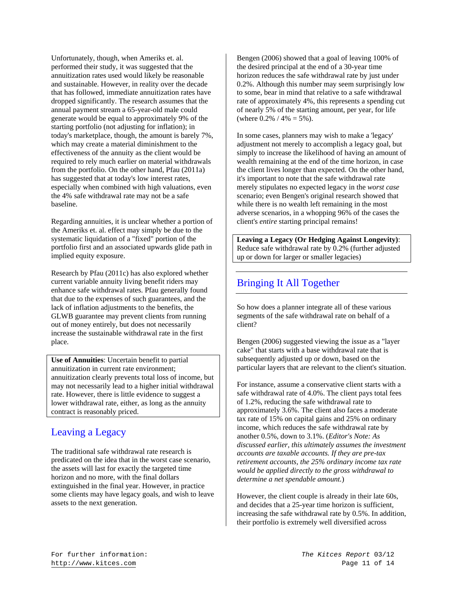Unfortunately, though, when Ameriks et. al. performed their study, it was suggested that the annuitization rates used would likely be reasonable and sustainable. However, in reality over the decade that has followed, immediate annuitization rates have dropped significantly. The research assumes that the annual payment stream a 65-year-old male could generate would be equal to approximately 9% of the starting portfolio (not adjusting for inflation); in today's marketplace, though, the amount is barely 7%, which may create a material diminishment to the effectiveness of the annuity as the client would be required to rely much earlier on material withdrawals from the portfolio. On the other hand, Pfau (2011a) has suggested that at today's low interest rates, especially when combined with high valuations, even the 4% safe withdrawal rate may not be a safe baseline.

Regarding annuities, it is unclear whether a portion of the Ameriks et. al. effect may simply be due to the systematic liquidation of a "fixed" portion of the portfolio first and an associated upwards glide path in implied equity exposure.

Research by Pfau (2011c) has also explored whether current variable annuity living benefit riders may enhance safe withdrawal rates. Pfau generally found that due to the expenses of such guarantees, and the lack of inflation adjustments to the benefits, the GLWB guarantee may prevent clients from running out of money entirely, but does not necessarily increase the sustainable withdrawal rate in the first place.

**Use of Annuities**: Uncertain benefit to partial annuitization in current rate environment; annuitization clearly prevents total loss of income, but may not necessarily lead to a higher initial withdrawal rate. However, there is little evidence to suggest a lower withdrawal rate, either, as long as the annuity contract is reasonably priced.

# Leaving a Legacy

The traditional safe withdrawal rate research is predicated on the idea that in the worst case scenario, the assets will last for exactly the targeted time horizon and no more, with the final dollars extinguished in the final year. However, in practice some clients may have legacy goals, and wish to leave assets to the next generation.

Bengen (2006) showed that a goal of leaving 100% of the desired principal at the end of a 30-year time horizon reduces the safe withdrawal rate by just under 0.2%. Although this number may seem surprisingly low to some, bear in mind that relative to a safe withdrawal rate of approximately 4%, this represents a spending cut of nearly 5% of the starting amount, per year, for life (where  $0.2\%$  /  $4\% = 5\%$ ).

In some cases, planners may wish to make a 'legacy' adjustment not merely to accomplish a legacy goal, but simply to increase the likelihood of having an amount of wealth remaining at the end of the time horizon, in case the client lives longer than expected. On the other hand, it's important to note that the safe withdrawal rate merely stipulates no expected legacy in the *worst case* scenario; even Bengen's original research showed that while there is no wealth left remaining in the most adverse scenarios, in a whopping 96% of the cases the client's *entire* starting principal remains!

**Leaving a Legacy (Or Hedging Against Longevity)**: Reduce safe withdrawal rate by 0.2% (further adjusted up or down for larger or smaller legacies)

# Bringing It All Together

So how does a planner integrate all of these various segments of the safe withdrawal rate on behalf of a client?

Bengen (2006) suggested viewing the issue as a "layer cake" that starts with a base withdrawal rate that is subsequently adjusted up or down, based on the particular layers that are relevant to the client's situation.

For instance, assume a conservative client starts with a safe withdrawal rate of 4.0%. The client pays total fees of 1.2%, reducing the safe withdrawal rate to approximately 3.6%. The client also faces a moderate tax rate of 15% on capital gains and 25% on ordinary income, which reduces the safe withdrawal rate by another 0.5%, down to 3.1%. (*Editor's Note: As discussed earlier, this ultimately assumes the investment accounts are taxable accounts. If they are pre-tax retirement accounts, the 25% ordinary income tax rate would be applied directly to the gross withdrawal to determine a net spendable amount.*)

However, the client couple is already in their late 60s, and decides that a 25-year time horizon is sufficient, increasing the safe withdrawal rate by 0.5%. In addition, their portfolio is extremely well diversified across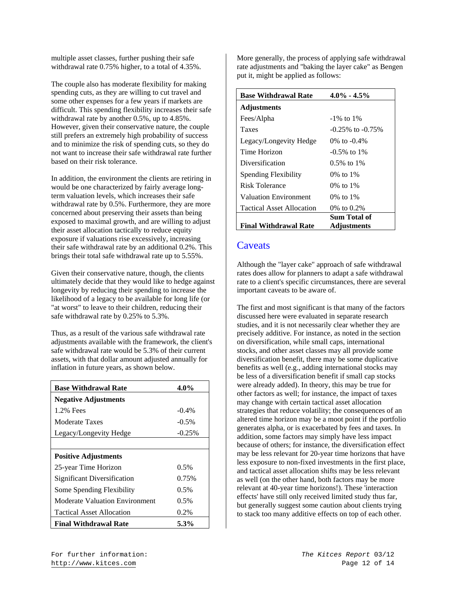multiple asset classes, further pushing their safe withdrawal rate 0.75% higher, to a total of 4.35%.

The couple also has moderate flexibility for making spending cuts, as they are willing to cut travel and some other expenses for a few years if markets are difficult. This spending flexibility increases their safe withdrawal rate by another 0.5%, up to 4.85%. However, given their conservative nature, the couple still prefers an extremely high probability of success and to minimize the risk of spending cuts, so they do not want to increase their safe withdrawal rate further based on their risk tolerance.

In addition, the environment the clients are retiring in would be one characterized by fairly average longterm valuation levels, which increases their safe withdrawal rate by 0.5%. Furthermore, they are more concerned about preserving their assets than being exposed to maximal growth, and are willing to adjust their asset allocation tactically to reduce equity exposure if valuations rise excessively, increasing their safe withdrawal rate by an additional 0.2%. This brings their total safe withdrawal rate up to 5.55%.

Given their conservative nature, though, the clients ultimately decide that they would like to hedge against longevity by reducing their spending to increase the likelihood of a legacy to be available for long life (or "at worst" to leave to their children, reducing their safe withdrawal rate by 0.25% to 5.3%.

Thus, as a result of the various safe withdrawal rate adjustments available with the framework, the client's safe withdrawal rate would be 5.3% of their current assets, with that dollar amount adjusted annually for inflation in future years, as shown below.

| <b>Base Withdrawal Rate</b>           | $4.0\%$  |
|---------------------------------------|----------|
| <b>Negative Adjustments</b>           |          |
| 1.2% Fees                             | $-0.4\%$ |
| Moderate Taxes                        | $-0.5\%$ |
| Legacy/Longevity Hedge                | $-0.25%$ |
|                                       |          |
| <b>Positive Adjustments</b>           |          |
| 25-year Time Horizon                  | 0.5%     |
| Significant Diversification           | 0.75%    |
| Some Spending Flexibility             | $0.5\%$  |
| <b>Moderate Valuation Environment</b> | 0.5%     |
| Tactical Asset Allocation             | 0.2%     |
| <b>Final Withdrawal Rate</b>          | 5.3%     |

More generally, the process of applying safe withdrawal rate adjustments and "baking the layer cake" as Bengen put it, might be applied as follows:

| <b>Base Withdrawal Rate</b>      | $4.0\% - 4.5\%$        |
|----------------------------------|------------------------|
| <b>Adjustments</b>               |                        |
| Fees/Alpha                       | $-1\%$ to $1\%$        |
| Taxes                            | $-0.25\%$ to $-0.75\%$ |
| Legacy/Longevity Hedge           | 0% to -0.4%            |
| Time Horizon                     | $-0.5\%$ to 1\%        |
| Diversification                  | $0.5\%$ to 1\%         |
| Spending Flexibility             | 0% to 1%               |
| Risk Tolerance                   | $0\%$ to $1\%$         |
| <b>Valuation Environment</b>     | 0% to 1%               |
| <b>Tactical Asset Allocation</b> | 0\% to $0.2\%$         |
|                                  | Sum Total of           |
| <b>Final Withdrawal Rate</b>     | Adjustments            |

#### **Caveats**

Although the "layer cake" approach of safe withdrawal rates does allow for planners to adapt a safe withdrawal rate to a client's specific circumstances, there are several important caveats to be aware of.

The first and most significant is that many of the factors discussed here were evaluated in separate research studies, and it is not necessarily clear whether they are precisely additive. For instance, as noted in the section on diversification, while small caps, international stocks, and other asset classes may all provide some diversification benefit, there may be some duplicative benefits as well (e.g., adding international stocks may be less of a diversification benefit if small cap stocks were already added). In theory, this may be true for other factors as well; for instance, the impact of taxes may change with certain tactical asset allocation strategies that reduce volatility; the consequences of an altered time horizon may be a moot point if the portfolio generates alpha, or is exacerbated by fees and taxes. In addition, some factors may simply have less impact because of others; for instance, the diversification effect may be less relevant for 20-year time horizons that have less exposure to non-fixed investments in the first place, and tactical asset allocation shifts may be less relevant as well (on the other hand, both factors may be more relevant at 40-year time horizons!). These 'interaction effects' have still only received limited study thus far, but generally suggest some caution about clients trying to stack too many additive effects on top of each other.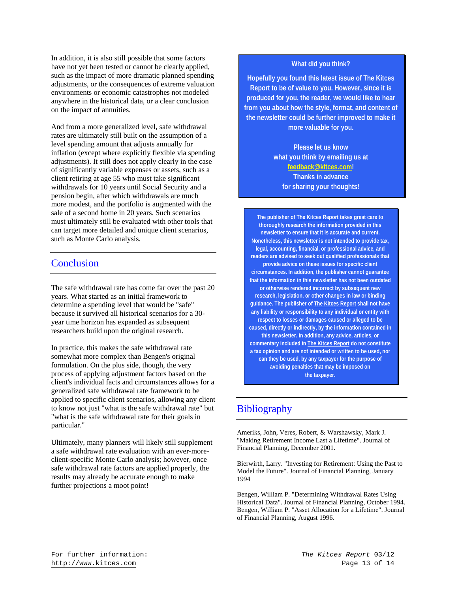In addition, it is also still possible that some factors have not yet been tested or cannot be clearly applied, such as the impact of more dramatic planned spending adjustments, or the consequences of extreme valuation environments or economic catastrophes not modeled anywhere in the historical data, or a clear conclusion on the impact of annuities.

And from a more generalized level, safe withdrawal rates are ultimately still built on the assumption of a level spending amount that adjusts annually for inflation (except where explicitly flexible via spending adjustments). It still does not apply clearly in the case of significantly variable expenses or assets, such as a client retiring at age 55 who must take significant withdrawals for 10 years until Social Security and a pension begin, after which withdrawals are much more modest, and the portfolio is augmented with the sale of a second home in 20 years. Such scenarios must ultimately still be evaluated with other tools that can target more detailed and unique client scenarios, such as Monte Carlo analysis.

#### **Conclusion**

The safe withdrawal rate has come far over the past 20 years. What started as an initial framework to determine a spending level that would be "safe" because it survived all historical scenarios for a 30 year time horizon has expanded as subsequent researchers build upon the original research.

In practice, this makes the safe withdrawal rate somewhat more complex than Bengen's original formulation. On the plus side, though, the very process of applying adjustment factors based on the client's individual facts and circumstances allows for a generalized safe withdrawal rate framework to be applied to specific client scenarios, allowing any client to know not just "what is the safe withdrawal rate" but "what is the safe withdrawal rate for their goals in particular."

Ultimately, many planners will likely still supplement a safe withdrawal rate evaluation with an ever-moreclient-specific Monte Carlo analysis; however, once safe withdrawal rate factors are applied properly, the results may already be accurate enough to make further projections a moot point!

#### **What did you think?**

**Hopefully you found this latest issue of The Kitces Report to be of value to you. However, since it is produced for you, the reader, we would like to hear from you about how the style, format, and content of the newsletter could be further improved to make it more valuable for you.** 

> **Please let us know what you think by emailing us at feedback@kitces.com! Thanks in advance for sharing your thoughts!**

**The publisher of The Kitces Report takes great care to thoroughly research the information provided in this newsletter to ensure that it is accurate and current. Nonetheless, this newsletter is not intended to provide tax, legal, accounting, financial, or professional advice, and readers are advised to seek out qualified professionals that provide advice on these issues for specific client circumstances. In addition, the publisher cannot guarantee that the information in this newsletter has not been outdated or otherwise rendered incorrect by subsequent new research, legislation, or other changes in law or binding guidance. The publisher of The Kitces Report shall not have any liability or responsibility to any individual or entity with respect to losses or damages caused or alleged to be caused, directly or indirectly, by the information contained in this newsletter. In addition, any advice, articles, or commentary included in The Kitces Report do not constitute a tax opinion and are not intended or written to be used, nor can they be used, by any taxpayer for the purpose of avoiding penalties that may be imposed on the taxpayer.** 

#### **Bibliography**

Ameriks, John, Veres, Robert, & Warshawsky, Mark J. "Making Retirement Income Last a Lifetime". Journal of Financial Planning, December 2001.

Bierwirth, Larry. "Investing for Retirement: Using the Past to Model the Future". Journal of Financial Planning, January 1994

Bengen, William P. "Determining Withdrawal Rates Using Historical Data". Journal of Financial Planning, October 1994. Bengen, William P. "Asset Allocation for a Lifetime". Journal of Financial Planning, August 1996.